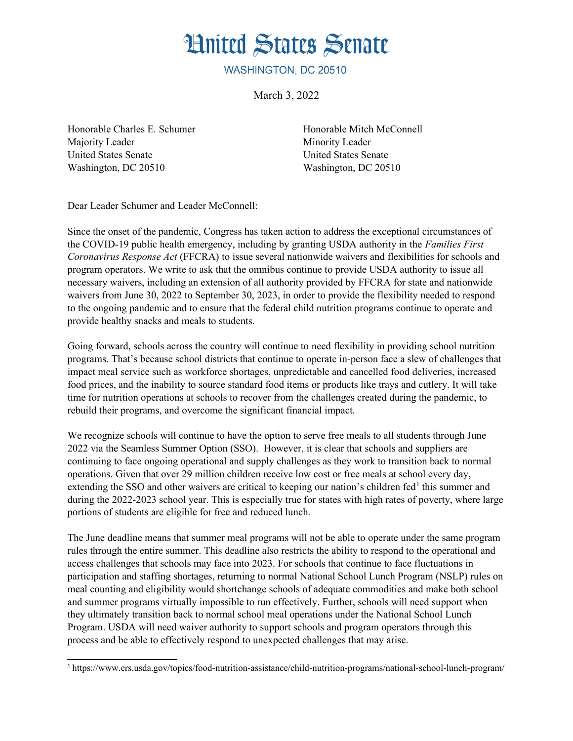**Hnited States Senate** 

WASHINGTON, DC 20510

March 3, 2022

Honorable Charles E. Schumer Honorable Mitch McConnell Majority Leader Minority Leader United States Senate United States Senate Washington, DC 20510 Washington, DC 20510

Dear Leader Schumer and Leader McConnell:

Since the onset of the pandemic, Congress has taken action to address the exceptional circumstances of the COVID-19 public health emergency, including by granting USDA authority in the *Families First Coronavirus Response Act* (FFCRA) to issue several nationwide waivers and flexibilities for schools and program operators. We write to ask that the omnibus continue to provide USDA authority to issue all necessary waivers, including an extension of all authority provided by FFCRA for state and nationwide waivers from June 30, 2022 to September 30, 2023, in order to provide the flexibility needed to respond to the ongoing pandemic and to ensure that the federal child nutrition programs continue to operate and provide healthy snacks and meals to students.

Going forward, schools across the country will continue to need flexibility in providing school nutrition programs. That's because school districts that continue to operate in-person face a slew of challenges that impact meal service such as workforce shortages, unpredictable and cancelled food deliveries, increased food prices, and the inability to source standard food items or products like trays and cutlery. It will take time for nutrition operations at schools to recover from the challenges created during the pandemic, to rebuild their programs, and overcome the significant financial impact.

<span id="page-0-0"></span>We recognize schools will continue to have the option to serve free meals to all students through June 2022 via the Seamless Summer Option (SSO). However, it is clear that schools and suppliers are continuing to face ongoing operational and supply challenges as they work to transition back to normal operations. Given that over 29 million children receive low cost or free meals at school every day, extending the SSO and other waivers are critical to keeping our nation's children fed<sup>[1](#page-0-1)</sup> this summer and during the 2022-2023 school year. This is especially true for states with high rates of poverty, where large portions of students are eligible for free and reduced lunch.

The June deadline means that summer meal programs will not be able to operate under the same program rules through the entire summer. This deadline also restricts the ability to respond to the operational and access challenges that schools may face into 2023. For schools that continue to face fluctuations in participation and staffing shortages, returning to normal National School Lunch Program (NSLP) rules on meal counting and eligibility would shortchange schools of adequate commodities and make both school and summer programs virtually impossible to run effectively. Further, schools will need support when they ultimately transition back to normal school meal operations under the National School Lunch Program. USDA will need waiver authority to support schools and program operators through this process and be able to effectively respond to unexpected challenges that may arise.

<span id="page-0-1"></span>[<sup>1</sup>](#page-0-0) https://www.ers.usda.gov/topics/food-nutrition-assistance/child-nutrition-programs/national-school-lunch-program/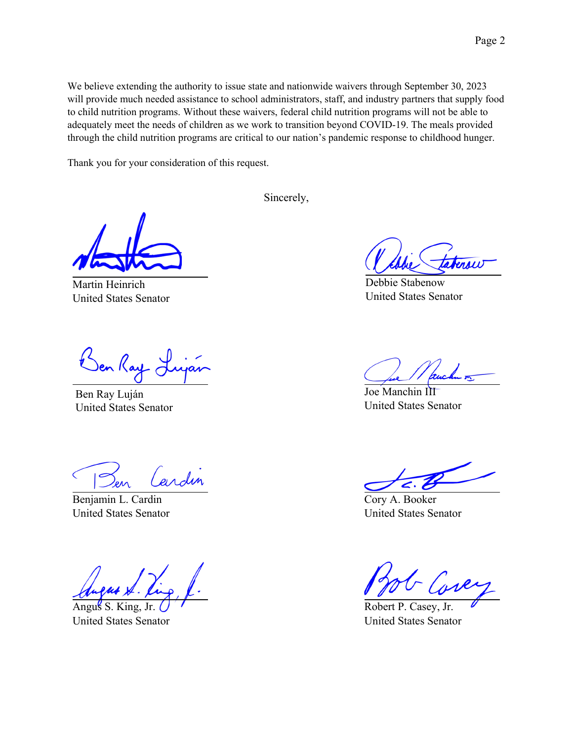We believe extending the authority to issue state and nationwide waivers through September 30, 2023 will provide much needed assistance to school administrators, staff, and industry partners that supply food to child nutrition programs. Without these waivers, federal child nutrition programs will not be able to adequately meet the needs of children as we work to transition beyond COVID-19. The meals provided through the child nutrition programs are critical to our nation's pandemic response to childhood hunger.

Thank you for your consideration of this request.

Sincerely,

Martin Heinrich United States Senator

Den Kay

Ben Ray Luján United States Senator

ardin

Benjamin L. Cardin United States Senator

Angus S. King, Jr. United States Senator

Debbie Stabenow United States Senator

Joe Manchin III United States Senator

Cory A. Booker United States Senator

Robert P. Casey, Jr. United States Senator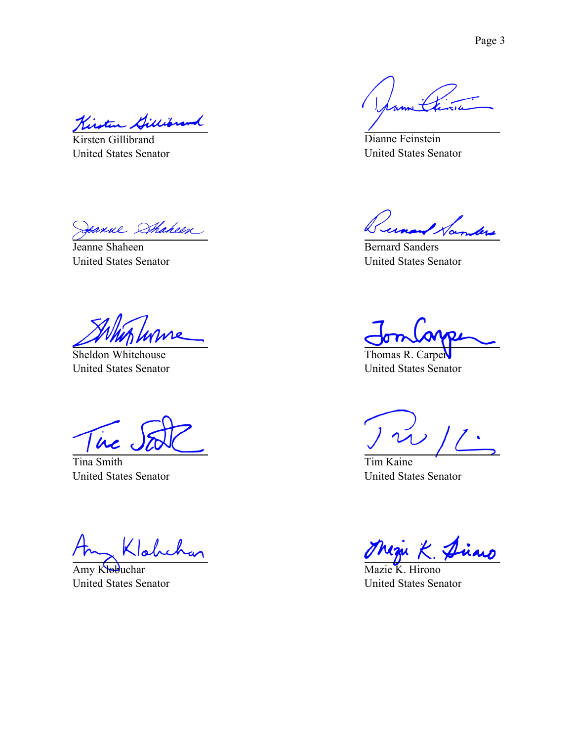Kint

Kirsten Gillibrand United States Senator

eanne Shaheen

Jeanne Shaheen United States Senator

Sheldon Whitehouse United States Senator

ire

Tina Smith United States Senator

Amy Klobuchar United States Senator

Dianne Feinstein United States Senator

unand Samlers

Bernard Sanders United States Senator

Thomas R. Carper United States Senator

 $\overline{1}$ 

Tim Kaine United States Senator

Mazie K. Hirono United States Senator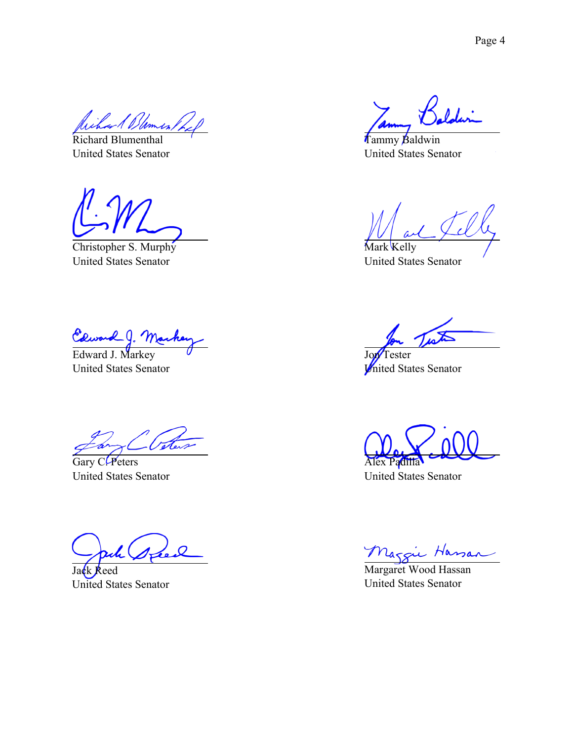Richard Blumenthal United States Senator

Christopher S. Murphy United States Senator

Edward J. Mar<br>Edward J. Markey

United States Senator

Vete

Gary C. Peters United States Senator

Jack Reed United States Senator

Tammy Baldwin United States Senator

Mark Kelly United States Senator

Jon<sup>T</sup>ester United States Senator

Alex Padilla

United States Senator

Maggie Hassan

United States Senator